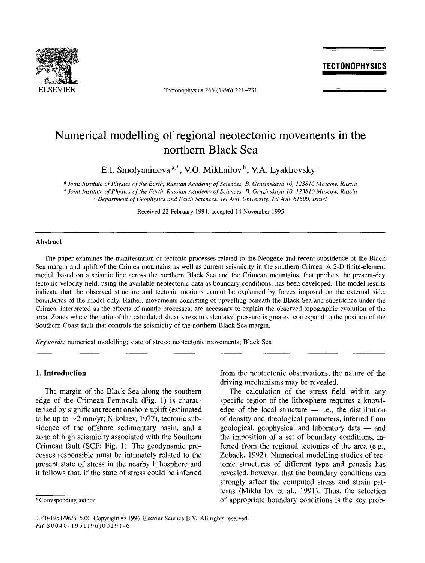

ELSEVIER Tectonophysics 266 (1996) 221-231

## **TECTONOPHYSICS**

# **Numerical modelling of regional neotectonic movements in the northern Black Sea**

E.I. Smolyaninova<sup>a,\*</sup>, V.O. Mikhailov<sup>b</sup>, V.A. Lyakhovsky<sup>c</sup>

*a Joint Institute of Physics of the Earth, Russian Academy of Sciences, B. Gruzinskaya 10, 123810 Moscow, Russia h Joint Institute of Physics of the Earth, Russian Academy of Sciences, B. Gruzinskaya 10, 123810 Moscow, Russia c Department of Geophysics and Earth Sciences, Tel Aviv University, Tel Aviv 61500, Israel* 

Received 22 February 1994; accepted 14 November 1995

#### **Abstract**

The paper examines the manifestation of tectonic processes related to the Neogene and recent subsidence of the Black Sea margin and uplift of the Crimea mountains as well as current seismicity in the southern Crimea. A 2-D finite-element model, based on a seismic line across the northern Black Sea and the Crimean mountains, that predicts the present-day tectonic velocity field, using the available neotectonic data as boundary conditions, has been developed. The model results indicate that the observed structure and tectonic motions cannot be explained by forces imposed on the external side, boundaries of the model only. Rather, movements consisting of upwelling beneath the Black Sea and subsidence under the Crimea, interpreted as the effects of mantle processes, are necessary to explain the observed topographic evolution of the area. Zones where the ratio of the calculated shear stress to calculated pressure is greatest correspond to the position of the Southern Coast fault that controls the seismicity of the northern Black Sea margin.

*Keywords:* numerical modelling; state of stress; neotectonic movements; Black Sea

## **1. Introduction**

The margin of the Black Sea along the southern edge of the Crimean Peninsula (Fig. 1) is characterised by significant recent onshore uplift (estimated to be up to  $\sim$ 2 mm/yr; Nikolaev, 1977), tectonic subsidence of the offshore sedimentary basin, and a zone of high seismicity associated with the Southern Crimean fault (SCF; Fig. 1). The geodynamic processes responsible must be intimately related to the present state of stress in the nearby lithosphere and it follows that, if the state of stress could be inferred from the neotectonic observations, the nature of the driving mechanisms may be revealed.

The calculation of the stress field within any specific region of the lithosphere requires a knowledge of the local structure  $-$  i.e., the distribution of density and rheological parameters, inferred from geological, geophysical and laboratory data -- and the imposition of a set of boundary conditions, inferred from the regional tectonics of the area (e.g., Zoback, 1992). Numerical modelling studies of tectonic structures of different type and genesis has revealed, however, that the boundary conditions can strongly affect the computed stress and strain patterns (Mikhailov et al., 1991). Thus, the selection of appropriate boundary conditions is the key prob-

<sup>\*</sup> Corresponding author.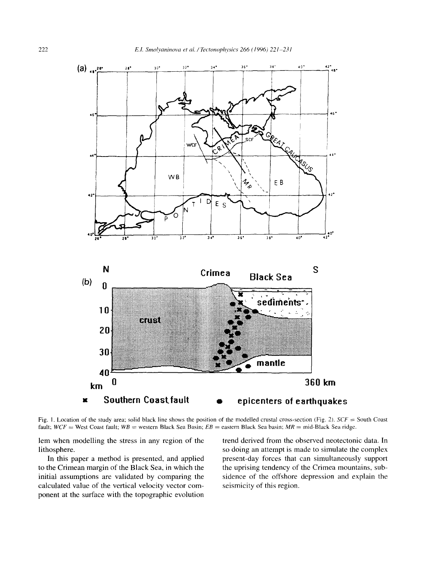

Fig. 1. Location of the study area; solid black line shows the position of the modelled crustal cross-section (Fig. 2).  $SCF =$  South Coast fault; *WCF* = West Coast fault; *WB* = western Black Sea Basin; *EB* = eastern Black Sea basin; *MR* = mid-Black Sea ridge.

lem when modelling the stress in any region of the lithosphere.

In this paper a method is presented, and applied to the Crimean margin of the Black Sea, in which the initial assumptions are validated by comparing the calculated value of the vertical velocity vector component at the surface with the topographic evolution

trend derived from the observed neotectonic data. In so doing an attempt is made to simulate the complex present-day forces that can simultaneously support the uprising tendency of the Crimea mountains, subsidence of the offshore depression and explain the seismicity of this region.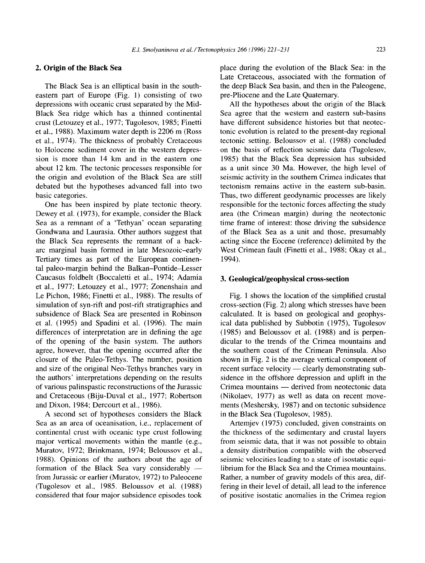## **2. Origin of the Black Sea**

The Black Sea is an elliptical basin in the southeastern part of Europe (Fig. 1) consisting of two depressions with oceanic crust separated by the Mid-Black Sea ridge which has a thinned continental crust (Letouzey et al., 1977; Tugolesov, 1985; Finetti et al., 1988). Maximum water depth is 2206 m (Ross et al., 1974). The thickness of probably Cretaceous to Holocene sediment cover in the western depression is more than 14 km and in the eastern one about 12 km. The tectonic processes responsible for the origin and evolution of the Black Sea are still debated but the hypotheses advanced fall into two basic categories.

One has been inspired by plate tectonic theory. Dewey et al. (1973), for example, consider the Black Sea as a remnant of a 'Tethyan' ocean separating Gondwana and Laurasia. Other authors suggest that the Black Sea represents the remnant of a backarc marginal basin formed in late Mesozoic-early Tertiary times as part of the European continental paleo-margin behind the Balkan-Pontide-Lesser Caucasus foldbelt (Boccaletti et al., 1974; Adamia et al., 1977; Letouzey et al., 1977; Zonenshain and Le Pichon, 1986; Finetti et al., 1988). The results of simulation of syn-rift and post-rift stratigraphies and subsidence of Black Sea are presented in Robinson et al. (1995) and Spadini et al. (1996). The main differences of interpretation are in defining the age of the opening of the basin system. The authors agree, however, that the opening occurred after the closure of the Paleo-Tethys. The number, position and size of the original Neo-Tethys branches vary in the authors' interpretations depending on the results of various palinspastic reconstructions of the Jurassic and Cretaceous (Biju-Duval et al., 1977; Robertson and Dixon, 1984; Dercourt et al., 1986).

A second set of hypotheses considers the Black Sea as an area of oceanisation, i.e., replacement of continental crust with oceanic type crust following major vertical movements within the mantle (e.g., Muratov, 1972; Brinkmann, 1974; Beloussov et al., 1988). Opinions of the authors about the age of formation of the Black Sea vary considerably  $$ from Jurassic or earlier (Muratov, 1972) to Paleocene (Tugolesov et al., 1985. Beloussov et al. (1988) considered that four major subsidence episodes took place during the evolution of the Black Sea: in the Late Cretaceous, associated with the formation of the deep Black Sea basin, and then in the Paleogene, pre-Pliocene and the Late Quaternary.

All the hypotheses about the origin of the Black Sea agree that the western and eastern sub-basins have different subsidence histories but that neotectonic evolution is related to the present-day regional tectonic setting. Beloussov et al. (1988) concluded on the basis of reflection seismic data (Tugolesov, 1985) that the Black Sea depression has subsided as a unit since 30 Ma. However, the high level of seismic activity in the southern Crimea indicates that tectonism remains active in the eastern sub-basin. Thus, two different geodynamic processes are likely responsible for the tectonic forces affecting the study area (the Crimean margin) during the neotectonic time frame of interest: those driving the subsidence of the Black Sea as a unit and those, presumably acting since the Eocene (reference) delimited by the West Crimean fault (Finetti et al., 1988; Okay et al., 1994).

### **3. Geological/geophysical cross-section**

Fig. 1 shows the location of the simplified crustal cross-section (Fig. 2) along which stresses have been calculated. It is based on geological and geophysical data published by Subbotin (1975), Tugolesov (1985) and Beloussov et al. (1988) and is perpendicular to the trends of the Crimea mountains and the southern coast of the Crimean Peninsula. Also shown in Fig. 2 is the average vertical component of recent surface velocity — clearly demonstrating subsidence in the offshore depression and uplift in the Crimea mountains — derived from neotectonic data (Nikolaev, 1977) as well as data on recent movements (Meshersky, 1987) and on tectonic subsidence in the Black Sea (Tugolesov, 1985).

Artemjev (1975) concluded, given constraints on the thickness of the sedimentary and crustal layers from seismic data, that it was not possible to obtain a density distribution compatible with the observed seismic velocities leading to a state of isostatic equilibrium for the Black Sea and the Crimea mountains. Rather, a number of gravity models of this area, differing in their level of detail, all lead to the inference of positive isostatic anomalies in the Crimea region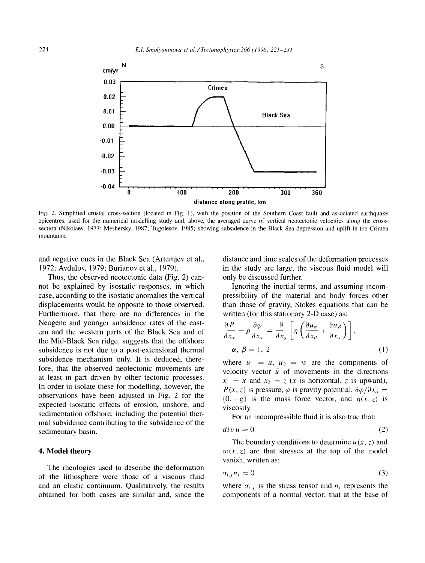

Fig. 2. Simplified crustal cross-section (located in Fig. 1), with the position of the Southern Coast fault and associated earthquake epicentres, used for the numerical modelling study and, above, the averaged curve of vertical neotectonic velocities along the crosssection (Nikolaev, 1977; Meshersky, 1987; Tugolesov, 1985) showing subsidence in the Black Sea depression and uplift in the Crimea mountains.

and negative ones in the Black Sea (Artemjev et al., 1972; Avdulov, 1979; Burianov et al., 1979).

Thus, the observed neotectonic data (Fig. 2) cannot be explained by isostatic responses, in which case, according to the isostatic anomalies the vertical displacements would be opposite to those observed. Furthermore, that there are no differences in the Neogene and younger subsidence rates of the eastern and the western parts of the Black Sea and of the Mid-Black Sea ridge, suggests that the offshore subsidence is not due to a post-extensional thermal subsidence mechanism only. It is deduced, therefore, that the observed neotectonic movements are at least in part driven by other tectonic processes. In order to isolate these for modelling, however, the observations have been adjusted in Fig. 2 for the expected isostatic effects of erosion, onshore, and sedimentation offshore, including the potential thermal subsidence contributing to the subsidence of the sedimentary basin.

#### **4. Model theory**

The rheologies used to describe the deformation of the lithosphere were those of a viscous fluid and an elastic continuum. Qualitatively, the results obtained for both cases are similar and, since the

distance and time scales of the deformation processes in the study are large, the viscous fluid model will only be discussed further.

Ignoring the inertial terms, and assuming incompressibility of the material and body forces other than those of gravity, Stokes equations that can be written (for this stationary 2-D case) as:

$$
\frac{\partial P}{\partial x_{\alpha}} + \rho \frac{\partial \varphi}{\partial x_{\alpha}} = \frac{\partial}{\partial x_{\alpha}} \left[ \eta \left( \frac{\partial u_{\alpha}}{\partial x_{\beta}} + \frac{\partial u_{\beta}}{\partial x_{\alpha}} \right) \right],
$$
\n
$$
\alpha, \beta = 1, 2 \tag{1}
$$

where  $u_1 = u$ ,  $u_2 = w$  are the components of velocity vector  $\bar{u}$  of movements in the directions  $x_1 = x$  and  $x_2 = z$  (x is horizontal, z is upward),  $P(x, z)$  is pressure,  $\varphi$  is gravity potential,  $\partial \varphi / \partial x_{\alpha} =$  ${0, -g}$  is the mass force vector, and  $\eta(x, z)$  is viscosity.

For an incompressible fluid it is also true that:

$$
div \,\bar{u} = 0 \tag{2}
$$

The boundary conditions to determine  $u(x, z)$  and  $w(x, z)$  are that stresses at the top of the model vanish, written as:

$$
\sigma_{i,j} n_i = 0 \tag{3}
$$

where  $\sigma_{i,j}$  is the stress tensor and  $n_i$  represents the components of a normal vector; that at the base of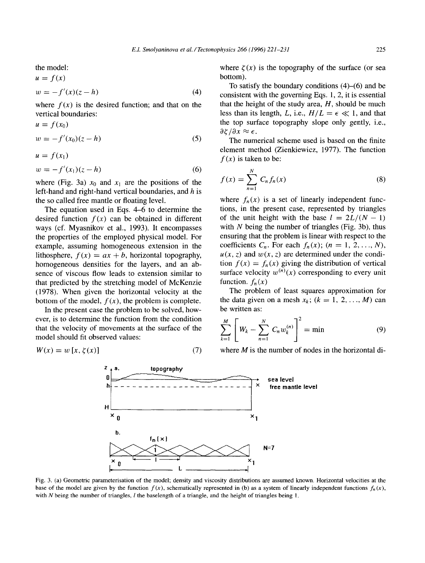the model:  $u = f(x)$ 

$$
w = -f'(x)(z - h) \tag{4}
$$

where  $f(x)$  is the desired function; and that on the vertical boundaries:

$$
u = f(x_0)
$$
  
\n
$$
w = -f'(x_0)(z - h)
$$
\n(5)

$$
u = f(x_1)
$$
  
\n
$$
w = -f'(x_1)(z - h)
$$
\n(6)

where (Fig. 3a)  $x_0$  and  $x_1$  are the positions of the left-hand and right-hand vertical boundaries, and h is the so called free mantle or floating level.

The equation used in Eqs. 4-6 to determine the desired function  $f(x)$  can be obtained in different ways (cf. Myasnikov et al., 1993). It encompasses the properties of the employed physical model. For example, assuming homogeneous extension in the lithosphere,  $f(x) = ax + b$ , horizontal topography, homogeneous densities for the layers, and an absence of viscous flow leads to extension similar to that predicted by the stretching model of McKenzie (1978). When given the horizontal velocity at the bottom of the model,  $f(x)$ , the problem is complete.

In the present case the problem to be solved, however, is to determine the function from the condition that the velocity of movements at the surface of the model should fit observed values:

$$
W(x) = w[x, \zeta(x)] \tag{7}
$$

where  $\zeta(x)$  is the topography of the surface (or sea bottom).

To satisfy the boundary conditions  $(4)$ – $(6)$  and be consistent with the governing Eqs. 1, 2, it is essential that the height of the study area,  $H$ , should be much less than its length, L, i.e.,  $H/L = \epsilon \ll 1$ , and that the top surface topography slope only gently, i.e.,  $\partial \zeta / \partial x \approx \epsilon$ .

The numerical scheme used is based on the finite element method (Zienkiewicz, 1977). The function  $f(x)$  is taken to be:

$$
f(x) = \sum_{n=1}^{N} C_n f_n(x) \tag{8}
$$

where  $f_n(x)$  is a set of linearly independent functions, in the present case, represented by triangles of the unit height with the base  $l = 2L/(N - 1)$ with  $N$  being the number of triangles (Fig. 3b), thus ensuring that the problem is linear with respect to the coefficients  $C_n$ . For each  $f_n(x)$ ;  $(n = 1, 2, ..., N)$ ,  $u(x, z)$  and  $w(x, z)$  are determined under the condition  $f(x) = f_n(x)$  giving the distribution of vertical surface velocity  $w^{(n)}(x)$  corresponding to every unit function,  $f_n(x)$ 

The problem of least squares approximation for the data given on a mesh  $x_k$ ;  $(k = 1, 2, ..., M)$  can be written as:

$$
\sum_{k=1}^{M} \left[ W_k - \sum_{n=1}^{N} C_n w_k^{(n)} \right]^2 = \min \tag{9}
$$

where  $M$  is the number of nodes in the horizontal di-



Fig. 3. (a) Geometric parameterisation of the model; density and viscosity distributions are assumed known. Horizontal velocities at the base of the model are given by the function  $f(x)$ , schematically represented in (b) as a system of linearly independent functions  $f_n(x)$ , with  $N$  being the number of triangles,  $l$  the baselength of a triangle, and the height of triangles being  $l$ .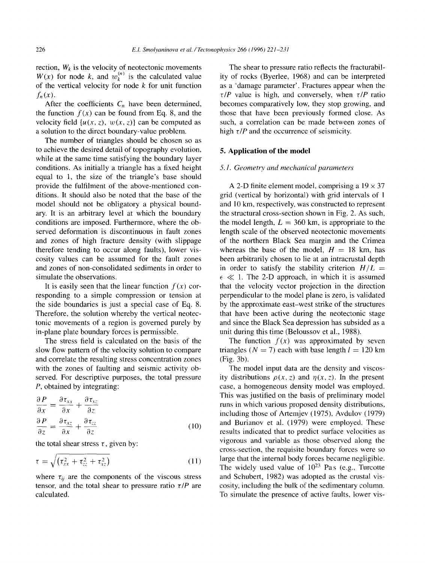rection,  $W_k$  is the velocity of neotectonic movements  $W(x)$  for node k, and  $w_k^{(n)}$  is the calculated value of the vertical velocity for node  $k$  for unit function  $f_n(x)$ .

After the coefficients  $C_n$  have been determined, the function  $f(x)$  can be found from Eq. 8, and the velocity field  $\{u(x, z), w(x, z)\}\)$  can be computed as a solution to the direct boundary-value problem.

The number of triangles should be chosen so as to achieve the desired detail of topography evolution, while at the same time satisfying the boundary layer conditions. As initially a triangle has a fixed height equal to 1, the size of the triangle's base should provide the fulfilment of the above-mentioned conditions. It should also be noted that the base of the model should not be obligatory a physical boundary. It is an arbitrary level at which the boundary conditions are imposed. Furthermore, where the observed deformation is discontinuous in fault zones and zones of high fracture density (with slippage therefore tending to occur along faults), lower viscosity values can be assumed for the fault zones and zones of non-consolidated sediments in order to simulate the observations.

It is easily seen that the linear function  $f(x)$  corresponding to a simple compression or tension at the side boundaries is just a special case of Eq. 8. Therefore, the solution whereby the vertical neotectonic movements of a region is governed purely by in-plane plate boundary forces is permissible.

The stress field is calculated on the basis of the slow flow pattern of the velocity solution to compare and correlate the resulting stress concentration zones with the zones of faulting and seismic activity observed. For descriptive purposes, the total pressure P, obtained by integrating:

$$
\frac{\partial P}{\partial x} = \frac{\partial \tau_{xx}}{\partial x} + \frac{\partial \tau_{xz}}{\partial z}
$$
  

$$
\frac{\partial P}{\partial z} = \frac{\partial \tau_{xz}}{\partial x} + \frac{\partial \tau_{zz}}{\partial z}
$$
 (10)

the total shear stress  $\tau$ , given by:

$$
\tau = \sqrt{(\tau_{xx}^2 + \tau_{zz}^2 + \tau_{xz}^2)}
$$
 (11)

where  $\tau_{ij}$  are the components of the viscous stress tensor, and the total shear to pressure ratio  $\tau/P$  are calculated.

The shear to pressure ratio reflects the fracturability of rocks (Byerlee, 1968) and can be interpreted as a 'damage parameter'. Fractures appear when the  $\tau$ /*P* value is high, and conversely, when  $\tau$ /*P* ratio becomes comparatively low, they stop growing, and those that have been previously formed close. As such, a correlation can be made between zones of high  $\tau$ */P* and the occurrence of seismicity.

#### **5. Application of the model**

#### 5.1. Geometry and mechanical parameters

A 2-D finite element model, comprising a  $19 \times 37$ grid (vertical by horizontal) with grid intervals of l and 10 km, respectively, was constructed to represent the structural cross-section shown in Fig. 2. As such, the model length,  $L = 360$  km, is appropriate to the length scale of the observed neotectonic movements of the northern Black Sea margin and the Crimea whereas the base of the model,  $H = 18$  km, has been arbitrarily chosen to lie at an intracrustal depth in order to satisfy the stability criterion  $H/L =$  $\epsilon \ll 1$ . The 2-D approach, in which it is assumed that the velocity vector projection in the direction perpendicular to the model plane is zero, is validated by the approximate east-west strike of the structures that have been active during the neotectonic stage and since the Black Sea depression has subsided as a unit during this time (Beloussov et al., 1988).

The function  $f(x)$  was approximated by seven triangles ( $N = 7$ ) each with base length  $l = 120$  km (Fig. 3b).

The model input data are the density and viscosity distributions  $\rho(x, z)$  and  $\eta(x, z)$ . In the present case, a homogeneous density model was employed. This was justified on the basis of preliminary model runs in which various proposed density distributions, including those of Artemjev (1975), Avdulov (1979) and Burianov et al. (1979) were employed. These results indicated that to predict surface velocities as vigorous and variable as those observed along the cross-section, the requisite boundary forces were so large that the internal body forces became negligible. The widely used value of  $10^{23}$  Pas (e.g., Turcotte and Schubert, 1982) was adopted as the crustal viscosity, including the bulk of the sedimentary column. To simulate the presence of active faults, lower vis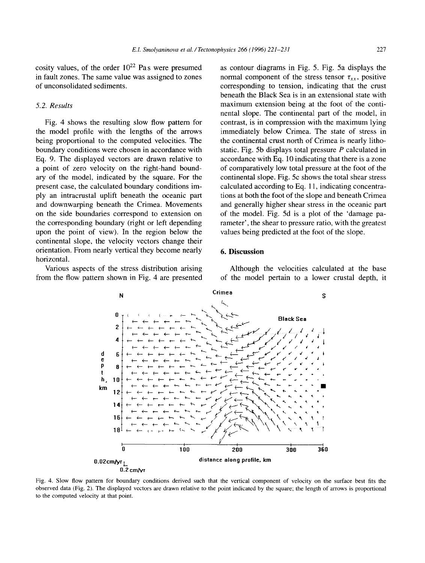cosity values, of the order  $10^{22}$  Pas were presumed in fault zones. The same value was assigned to zones of unconsolidated sediments.

#### *5.2. Results*

Fig. 4 shows the resulting slow flow pattern for the model profile with the lengths of the arrows being proportional to the computed velocities. The boundary conditions were chosen in accordance with Eq. 9. The displayed vectors are drawn relative to a point of zero velocity on the right-hand boundary of the model, indicated by the square. For the present case, the calculated boundary conditions imply an intracrustal uplift beneath the oceanic part and downwarping beneath the Crimea. Movements on the side boundaries correspond to extension on the corresponding boundary (right or left depending upon the point of view). In the region below the continental slope, the velocity vectors change their orientation. From nearly vertical they become nearly horizontal.

Various aspects of the stress distribution arising from the flow pattern shown in Fig. 4 are presented as contour diagrams in Fig. 5. Fig. 5a displays the normal component of the stress tensor  $\tau_{xx}$ , positive corresponding to tension, indicating that the crust beneath the Black Sea is in an extensional state with maximum extension being at the foot of the continental slope. The continental part of the model, in contrast, is in compression with the maximum lying immediately below Crimea. The state of stress in the continental crust north of Crimea is nearly lithostatic. Fig. 5b displays total pressure  $P$  calculated in accordance with Eq. 10 indicating that there is a zone of comparatively low total pressure at the foot of the continental slope. Fig. 5c shows the total shear stress calculated according to Eq. 11, indicating concentrations at both the foot of the slope and beneath Crimea and generally higher shear stress in the oceanic part of the model. Fig. 5d is a plot of the 'damage parameter', the shear to pressure ratio, with the greatest values being predicted at the foot of the slope.

#### **6. Discussion**

Although the velocities calculated at the base of the model pertain to a lower crustal depth, it



Fig. 4. Slow flow pattern for boundary conditions derived such that the vertical component of velocity on the surface best fits the observed data (Fig. 2). The displayed vectors are drawn relative to the point indicated by the square; the length of arrows is proportional to the computed velocity at that point.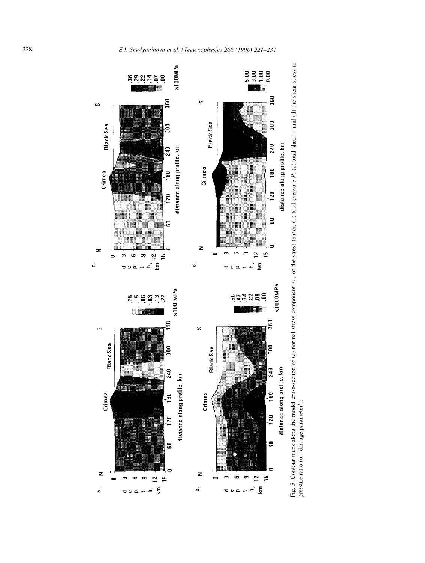



*©*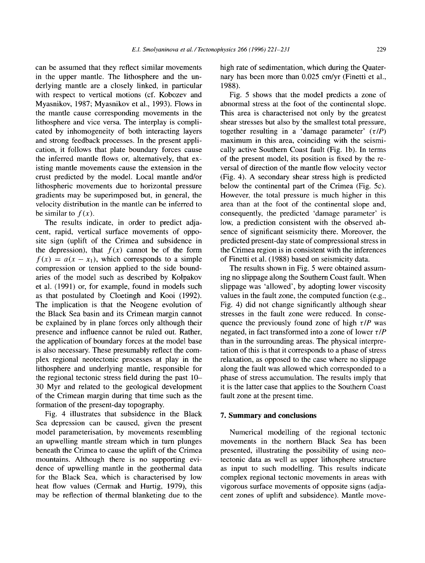can be assumed that they reflect similar movements in the upper mantle. The lithosphere and the underlying mantle are a closely linked, in particular with respect to vertical motions (cf. Kobozev and Myasnikov, 1987; Myasnikov et al., 1993). Flows in the mantle cause corresponding movements in the lithosphere and vice versa. The interplay is complicated by inhomogeneity of both interacting layers and strong feedback processes. In the present application, it follows that plate boundary forces cause the inferred mantle flows or, alternatively, that existing mantle movements cause the extension in the crust predicted by the model. Local mantle and/or lithospheric movements due to horizontal pressure gradients may be superimposed but, in general, the velocity distribution in the mantle can be inferred to be similar to  $f(x)$ .

The results indicate, in order to predict adjacent, rapid, vertical surface movements of opposite sign (uplift of the Crimea and subsidence in the depression), that  $f(x)$  cannot be of the form  $f(x) = a(x - x_1)$ , which corresponds to a simple compression or tension applied to the side boundaries of the model such as described by Kolpakov et al. (1991) or, for example, found in models such as that postulated by Cloetingh and Kooi (1992). The implication is that the Neogene evolution of the Black Sea basin and its Crimean margin cannot be explained by in plane forces only although their presence and influence cannot be ruled out. Rather, the application of boundary forces at the model base is also necessary. These presumably reflect the complex regional neotectonic processes at play in the lithosphere and underlying mantle, responsible for the regional tectonic stress field during the past 10- 30 Myr and related to the geological development of the Crimean margin during that time such as the formation of the present-day topography.

Fig. 4 illustrates that subsidence in the Black Sea depression can be caused, given the present model parameterisation, by movements resembling an upwelling mantle stream which in turn plunges beneath the Crimea to cause the uplift of the Crimea mountains. Although there is no supporting evidence of upwelling mantle in the geothermal data for the Black Sea, which is characterised by low heat flow values (Cermak and Hurtig, 1979), this may be reflection of thermal blanketing due to the high rate of sedimentation, which during the Quaternary has been more than 0.025 cm/yr (Finetti et al., 1988).

Fig. 5 shows that the model predicts a zone of abnormal stress at the foot of the continental slope. This area is characterised not only by the greatest shear stresses but also by the smallest total pressure, together resulting in a 'damage parameter'  $(\tau/P)$ maximum in this area, coinciding with the seismically active Southem Coast fault (Fig. lb). In terms of the present model, its position is fixed by the reversal of direction of the mantle flow velocity vector (Fig. 4). A secondary shear stress high is predicted below the continental part of the Crimea (Fig. 5c). However, the total pressure is much higher in this area than at the foot of the continental slope and, consequently, the predicted 'damage parameter' is low, a prediction consistent with the observed absence of significant seismicity there. Moreover, the predicted present-day state of compressional stress in the Crimea region is in consistent with the inferences of Finetti et al. (1988) based on seismicity data.

The results shown in Fig. 5 were obtained assuming no slippage along the Southern Coast fault. When slippage was 'allowed', by adopting lower viscosity values in the fault zone, the computed function (e.g., Fig. 4) did not change significantly although shear stresses in the fault zone were reduced. In consequence the previously found zone of high  $\tau/P$  was negated, in fact transformed into a zone of lower  $\tau$ /*P* than in the surrounding areas. The physical interpretation of this is that it corresponds to a phase of stress relaxation, as opposed to the case where no slippage along the fault was allowed which corresponded to a phase of stress accumulation. The results imply that it is the latter case that applies to the Southern Coast fault zone at the present time.

#### **7. Summary and conclusions**

Numerical modelling of the regional tectonic movements in the northern Black Sea has been presented, illustrating the possibility of using neotectonic data as well as upper lithosphere structure as input to such modelling. This results indicate complex regional tectonic movements in areas with vigorous surface movements of opposite signs (adjacent zones of uplift and subsidence). Mantle move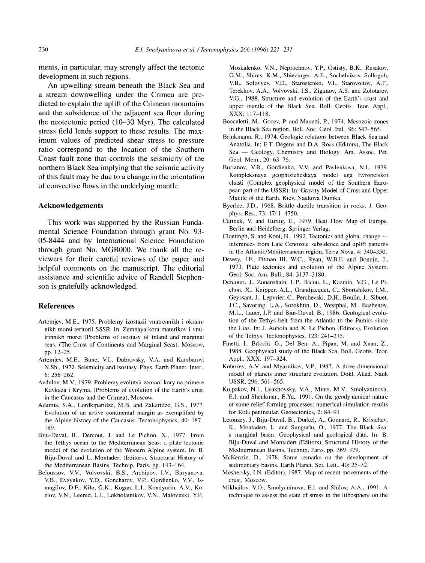**ments, in particular, may strongly affect the tectonic development in such regions.** 

**An upwelling stream beneath the Black Sea and a stream downwelling under the Crimea are predicted to explain the uplift of the Crimean mountains and the subsidence of the adjacent sea floor during the neotectonic period (10-30 Myr). The calculated stress field lends support to these results. The maximum values of predicted shear stress to pressure ratio correspond to the location of the Southern Coast fault zone that controls the seismicity of the northern Black Sea implying that the seismic activity of this fault may be due to a change in the orientation of convective flows in the underlying mantle.** 

## **Acknowledgements**

**This work was supported by the Russian Fundamental Science Foundation through grant No. 93- 05-8444 and by International Science Foundation through grant No. MGB000. We thank all the reviewers for their careful reviews of the paper and helpful comments on the manuscript. The editorial assistance and scientific advice of Randell Stephenson is gratefully acknowledged.** 

#### **References**

- Artemjev, M.E., 1975. Problemy izostazii vnutrennikh i okrainnikh morei teritorii SSSR. In: Zemnaya kora materikov i vnutrinnikb morei (Problems of isostasy of inland and marginal seas. (The Crust of Continents and Marginal Seas). Moscow, pp. 12–25.
- Artemjev, M.E., Bune, V.I., Dubrovsky, V.A. and Kambarov, N.Sh., 1972. Seismicity and isostasy. Phys. Earth Planet. Inter., 6: 256-262.
- Avdulov, M.V., 1979. Problemy evolutsii zemnoi kory na primere Kavkaza i Kryma. (Problems of evolution of the Earth's crust in the Caucasus and the Crimea). Moscow.
- Adamia, S.A., Lordkiparidze, M.B. and Zakaridze, G.S., 1977. Evolution of an active continental margin as exemplified by the Alpine history of the Caucasus. Tectonophysics, 40: 187- 189.
- Biju-Duval, B., Dercout, J. and Le Pichon, X., 1977. From the Tethys ocean to the Mediterranean Seas: a plate tectonic model of the evolution of the Western Alpine system. In: B. Biju-Duval and L. Montadert (Editors), Structural History of the Mediterranean Basins. Technip, Paris, pp. 143-164.
- Beloussov, V.V., Volvovski, B.S., Archipov, I.V., Buryanova, V.B., Evsyukov, Y.D., Goncharov, V.E, Gordienko, V.V., Ismagilov, D.E, Kilo, G.K., Kogan, L.I., Kondyurin, A.V., Kozlov, V.N., Leered, L.I., Lokholatnikov, V.N., Malovitski, Y.R,

Moskalenko, V.N., Neprochnov, Y.R, Ostisty, B.K., Rusakov, O.M., Shims, K.M., Shlezinger, A.E., Sochelnikov, Sollogub, V.B., Solovyev, V.D., Starostenko, V.I., Starovoitov, A.F., Terekhov, A.A., Volvovski, I.S., Zigunov, A.S. and Zolotarev, V.G., 1988. Structure and evolution of the Earth's crust and upper mantle of the Black Sea. Boll. Geofis. Teor. Appl., XXX: 117-118.

- Boccaletti, M., Gocev, R and Manetti, R, 1974. Mesozoic zones in the Black Sea region. Boll. Soc. Geol. ltal., 96: 547-565.
- Brinkmann, R., 1974. Geologic relations between Black Sea and Anatolia. In: E.T. Degens and D.A. Ross (Editors), The Black Sea -- Geology, Chemistry and Biology. Am. Assoc. Pet. Geol. Mem., 20: 63-76.
- Burianov, V.B., Gordienko, V.V. and Pavlenkova, N.I., 1979. Kompleksnaya geophizicheskaya model uga Evropeiskoi chasti (Complex geophysical model of the Southern European part of the USSR). In: Gravity Model of Crust and Upper Mantle of the Earth. Kiev, Naukova Dumka.
- Byerlee, J.D., 1968. Brittle-ductile transition in rocks. J. Geophys. Res., 73: 4741-4750.
- Cermak, V. and Hurtig, E., 1979. Heat Flow Map of Europe. Berlin and Heidelberg, Springer Verlag.
- Cloetingh, S. and Kooi, H., 1992. Tectonics and global change -inferences from Late Cenozoic subsidence and uplift patterns in the Atlantic/Mediterranean region. Terra Nova, 4: 340-350.
- Dewey, J.F., Pitman lII, W.C., Ryan, W.B.E and Bonnin, J., 1973. Plate tectonics and evolution of the Alpine System. Geol. Soc. Am. Bull., 84: 3137-3180.
- Dercourt, J., Zonenshain, L.R, Ricou, L., Kazmin, V.G., Le Pichon, X., Knipper, A.L., Grandjacquet, C., Sbortshikov, I.M., Geyssant, J., Lepvrier, C., Perchevski, D.H., Boulin, J., Sibuet, J.C., Savoring, L.A., Sorokhtin, D., Westphal, M., Bazhenov, M.L., Lauer, J.R and Bjui-Duval, B., 1986. Geological evolution of the Tethys belt from the Atlantic to the Pamirs since the Lias. In: J. Auboin and X. Le Pichon (Editors), Evolution of the Tethys. Tectonophysics, 123:241-315.
- Finetti, I., Bricchi, G., Del Ben, A., Pipan, M. and Xuan, Z., 1988. Geophysical study of the Black Sea. Boll. Geofis. Teor. Appl., XXX: 197-324.
- Kobozev, A.V. and Myasnikov, V.R, 1987. A three dimensional model of planets inner structure evolution. Dokl. Akad. Nauk USSR, 296: 561-565.
- Kolpakov, N.I., Lyakhovsky, V.A., Mints, M.V., Smolyaninova, E.I. and Shenkman, E.Ya., 1991. On the geodynamical nature of some relief-forming processes: numerical simulation results for Kola peninsular. Geotectonics, 2:84-91
- Letouzey, J., Biju-Duval, B., Dorkel, A., Gonnard, R., Kristchev, K., Montadert, L. and Sungurlu, O., 1977. The Black Sea: a marginal basin. Geophysical and geological data. In: B. Biju-Duval and Montadert (Editors), Structural History of the Mediterranean Basins. Technip, Paris, pp. 369-379.
- McKenzie, D., 1978. Some remarks on the development of sedimentary basins. Earth Planet. Sci. Lett., 40: 25-32.
- Meshersky, I.N. (Editor), 1987. Map of recent movements of the crust. Moscow.
- Mikhailov, V.O., Smolyaninova, E.I. and Shilov, A.A., 1991. A technique to assess the state of stress in the lithosphere on the